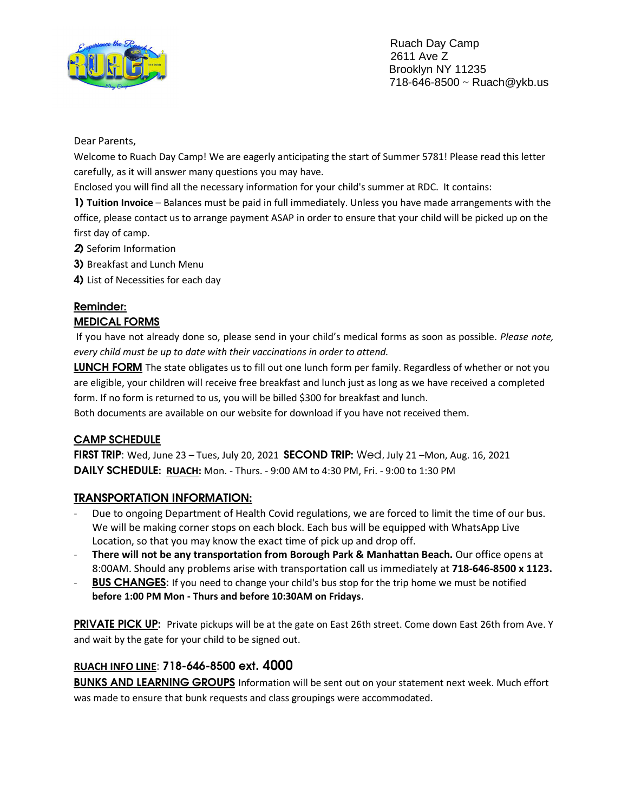

 Ruach Day Camp 2611 Ave Z Brooklyn NY 11235 718-646-8500 ~ Ruach@ykb.us

Dear Parents,

Welcome to Ruach Day Camp! We are eagerly anticipating the start of Summer 5781! Please read this letter carefully, as it will answer many questions you may have.

Enclosed you will find all the necessary information for your child's summer at RDC. It contains:

1) **Tuition Invoice** – Balances must be paid in full immediately. Unless you have made arrangements with the office, please contact us to arrange payment ASAP in order to ensure that your child will be picked up on the first day of camp.

- 2) Seforim Information
- 3) Breakfast and Lunch Menu
- 4) List of Necessities for each day

# Reminder:

#### MEDICAL FORMS

 If you have not already done so, please send in your child's medical forms as soon as possible. *Please note, every child must be up to date with their vaccinations in order to attend.* 

LUNCH FORM The state obligates us to fill out one lunch form per family. Regardless of whether or not you are eligible, your children will receive free breakfast and lunch just as long as we have received a completed form. If no form is returned to us, you will be billed \$300 for breakfast and lunch.

Both documents are available on our website for download if you have not received them.

## CAMP SCHEDULE

FIRST TRIP: Wed, June 23 - Tues, July 20, 2021 SECOND TRIP: Wed, July 21 - Mon, Aug. 16, 2021 DAILY SCHEDULE: **RUACH:** Mon. - Thurs. - 9:00 AM to 4:30 PM, Fri. - 9:00 to 1:30 PM

## TRANSPORTATION INFORMATION:

- Due to ongoing Department of Health Covid regulations, we are forced to limit the time of our bus. We will be making corner stops on each block. Each bus will be equipped with WhatsApp Live Location, so that you may know the exact time of pick up and drop off.
- **There will not be any transportation from Borough Park & Manhattan Beach.** Our office opens at 8:00AM. Should any problems arise with transportation call us immediately at **718-646-8500 x 1123.**
- **BUS CHANGES:** If you need to change your child's bus stop for the trip home we must be notified **before 1:00 PM Mon - Thurs and before 10:30AM on Fridays**.

PRIVATE PICK UP: Private pickups will be at the gate on East 26th street. Come down East 26th from Ave. Y and wait by the gate for your child to be signed out.

## **RUACH INFO LINE**: 718-646-8500 ext. 4000

BUNKS AND LEARNING GROUPS Information will be sent out on your statement next week. Much effort was made to ensure that bunk requests and class groupings were accommodated.